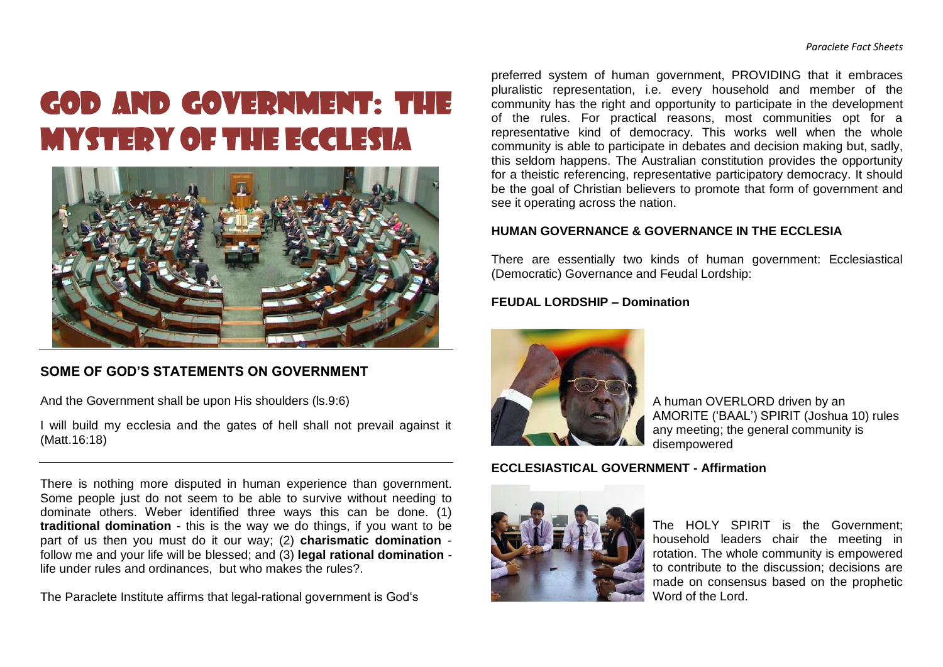# GOD AND GOVERNMENT: THE MYSTERY OF THE ECCLESIA



## **SOME OF GOD'S STATEMENTS ON GOVERNMENT**

And the Government shall be upon His shoulders (ls.9:6)

I will build my ecclesia and the gates of hell shall not prevail against it (Matt.16:18)

There is nothing more disputed in human experience than government. Some people just do not seem to be able to survive without needing to dominate others. Weber identified three ways this can be done. (1) **traditional domination** - this is the way we do things, if you want to be part of us then you must do it our way; (2) **charismatic domination** follow me and your life will be blessed; and (3) **legal rational domination** life under rules and ordinances, but who makes the rules?.

The Paraclete Institute affirms that legal-rational government is God's

preferred system of human government, PROVIDING that it embraces pluralistic representation, i.e. every household and member of the community has the right and opportunity to participate in the development of the rules. For practical reasons, most communities opt for a representative kind of democracy. This works well when the whole community is able to participate in debates and decision making but, sadly, this seldom happens. The Australian constitution provides the opportunity for a theistic referencing, representative participatory democracy. It should be the goal of Christian believers to promote that form of government and see it operating across the nation.

#### **HUMAN GOVERNANCE & GOVERNANCE IN THE ECCLESIA**

There are essentially two kinds of human government: Ecclesiastical (Democratic) Governance and Feudal Lordship:

#### **FEUDAL LORDSHIP – Domination**



A human OVERLORD driven by an AMORITE ('BAAL') SPIRIT (Joshua 10) rules any meeting; the general community is disempowered

### **ECCLESIASTICAL GOVERNMENT - Affirmation**



The HOLY SPIRIT is the Government; household leaders chair the meeting in rotation. The whole community is empowered to contribute to the discussion; decisions are made on consensus based on the prophetic Word of the Lord.